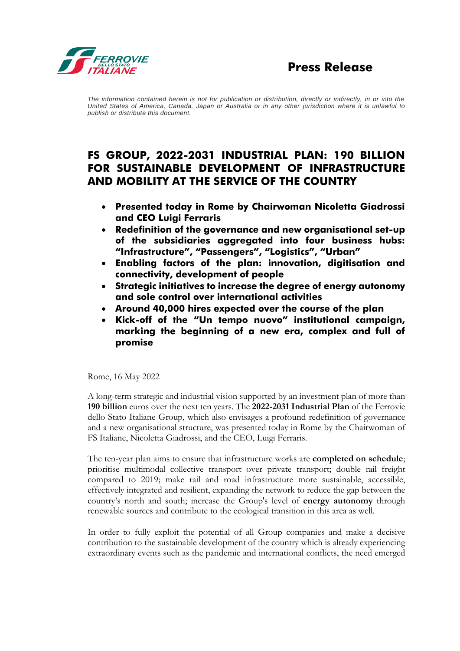

*The information contained herein is not for publication or distribution, directly or indirectly, in or into the United States of America, Canada, Japan or Australia or in any other jurisdiction where it is unlawful to publish or distribute this document.*

# **FS GROUP, 2022-2031 INDUSTRIAL PLAN: 190 BILLION FOR SUSTAINABLE DEVELOPMENT OF INFRASTRUCTURE AND MOBILITY AT THE SERVICE OF THE COUNTRY**

- **Presented today in Rome by Chairwoman Nicoletta Giadrossi and CEO Luigi Ferraris**
- **Redefinition of the governance and new organisational set-up of the subsidiaries aggregated into four business hubs: "Infrastructure", "Passengers", "Logistics", "Urban"**
- **Enabling factors of the plan: innovation, digitisation and connectivity, development of people**
- **Strategic initiatives to increase the degree of energy autonomy and sole control over international activities**
- **Around 40,000 hires expected over the course of the plan**
- **Kick-off of the "Un tempo nuovo" institutional campaign, marking the beginning of a new era, complex and full of promise**

Rome, 16 May 2022

A long-term strategic and industrial vision supported by an investment plan of more than **190 billion** euros over the next ten years. The **2022-2031 Industrial Plan** of the Ferrovie dello Stato Italiane Group, which also envisages a profound redefinition of governance and a new organisational structure, was presented today in Rome by the Chairwoman of FS Italiane, Nicoletta Giadrossi, and the CEO, Luigi Ferraris.

The ten-year plan aims to ensure that infrastructure works are **completed on schedule**; prioritise multimodal collective transport over private transport; double rail freight compared to 2019; make rail and road infrastructure more sustainable, accessible, effectively integrated and resilient, expanding the network to reduce the gap between the country's north and south; increase the Group's level of **energy autonomy** through renewable sources and contribute to the ecological transition in this area as well.

In order to fully exploit the potential of all Group companies and make a decisive contribution to the sustainable development of the country which is already experiencing extraordinary events such as the pandemic and international conflicts, the need emerged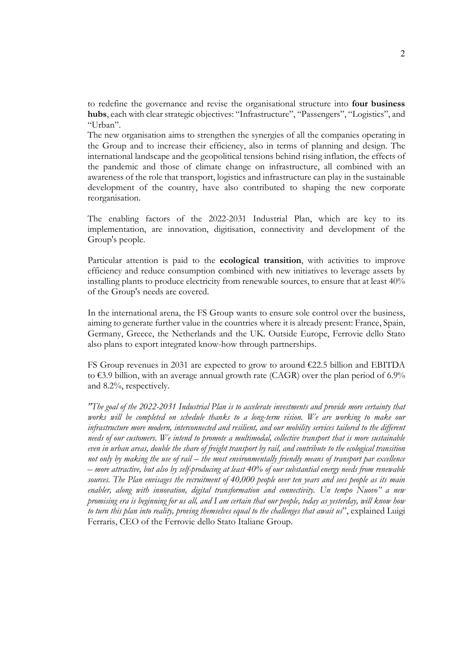to redefine the governance and revise the organisational structure into **four business hubs**, each with clear strategic objectives: "Infrastructure", "Passengers", "Logistics", and "Urban".

The new organisation aims to strengthen the synergies of all the companies operating in the Group and to increase their efficiency, also in terms of planning and design. The international landscape and the geopolitical tensions behind rising inflation, the effects of the pandemic and those of climate change on infrastructure, all combined with an awareness of the role that transport, logistics and infrastructure can play in the sustainable development of the country, have also contributed to shaping the new corporate reorganisation.

The enabling factors of the 2022-2031 Industrial Plan, which are key to its implementation, are innovation, digitisation, connectivity and development of the Group's people.

Particular attention is paid to the **ecological transition**, with activities to improve efficiency and reduce consumption combined with new initiatives to leverage assets by installing plants to produce electricity from renewable sources, to ensure that at least 40% of the Group's needs are covered.

In the international arena, the FS Group wants to ensure sole control over the business, aiming to generate further value in the countries where it is already present: France, Spain, Germany, Greece, the Netherlands and the UK. Outside Europe, Ferrovie dello Stato also plans to export integrated know-how through partnerships.

FS Group revenues in 2031 are expected to grow to around  $\epsilon$ 22.5 billion and EBITDA to  $\epsilon$ 3.9 billion, with an average annual growth rate (CAGR) over the plan period of 6.9% and 8.2%, respectively.

*"The goal of the 2022-2031 Industrial Plan is to accelerate investments and provide more certainty that works will be completed on schedule thanks to a long-term vision. We are working to make our infrastructure more modern, interconnected and resilient, and our mobility services tailored to the different needs of our customers. We intend to promote a multimodal, collective transport that is more sustainable even in urban areas, double the share of freight transport by rail, and contribute to the ecological transition not only by making the use of rail – the most environmentally friendly means of transport par excellence – more attractive, but also by self-producing at least 40% of our substantial energy needs from renewable sources. The Plan envisages the recruitment of 40,000 people over ten years and sees people as its main enabler, along with innovation, digital transformation and connectivity. Un tempo Nuovo" a new promising era is beginning for us all, and I am certain that our people, today as yesterday, will know how to turn this plan into reality, proving themselves equal to the challenges that await us*", explained Luigi Ferraris, CEO of the Ferrovie dello Stato Italiane Group.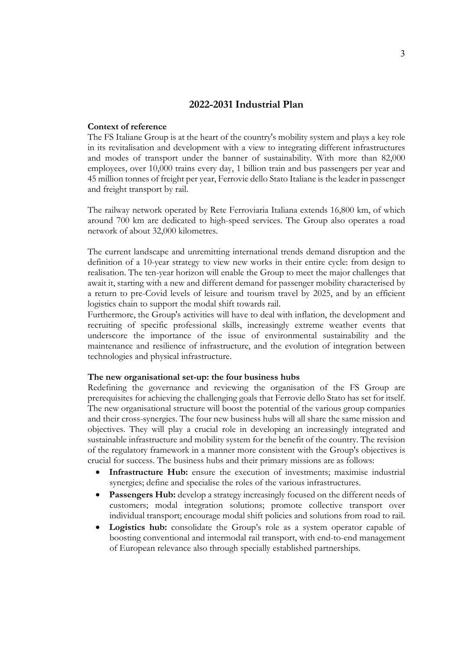## **2022-2031 Industrial Plan**

## **Context of reference**

The FS Italiane Group is at the heart of the country's mobility system and plays a key role in its revitalisation and development with a view to integrating different infrastructures and modes of transport under the banner of sustainability. With more than 82,000 employees, over 10,000 trains every day, 1 billion train and bus passengers per year and 45 million tonnes of freight per year, Ferrovie dello Stato Italiane is the leader in passenger and freight transport by rail.

The railway network operated by Rete Ferroviaria Italiana extends 16,800 km, of which around 700 km are dedicated to high-speed services. The Group also operates a road network of about 32,000 kilometres.

The current landscape and unremitting international trends demand disruption and the definition of a 10-year strategy to view new works in their entire cycle: from design to realisation. The ten-year horizon will enable the Group to meet the major challenges that await it, starting with a new and different demand for passenger mobility characterised by a return to pre-Covid levels of leisure and tourism travel by 2025, and by an efficient logistics chain to support the modal shift towards rail.

Furthermore, the Group's activities will have to deal with inflation, the development and recruiting of specific professional skills, increasingly extreme weather events that underscore the importance of the issue of environmental sustainability and the maintenance and resilience of infrastructure, and the evolution of integration between technologies and physical infrastructure.

#### **The new organisational set-up: the four business hubs**

Redefining the governance and reviewing the organisation of the FS Group are prerequisites for achieving the challenging goals that Ferrovie dello Stato has set for itself. The new organisational structure will boost the potential of the various group companies and their cross-synergies. The four new business hubs will all share the same mission and objectives. They will play a crucial role in developing an increasingly integrated and sustainable infrastructure and mobility system for the benefit of the country. The revision of the regulatory framework in a manner more consistent with the Group's objectives is crucial for success. The business hubs and their primary missions are as follows:

- **Infrastructure Hub:** ensure the execution of investments; maximise industrial synergies; define and specialise the roles of the various infrastructures.
- **Passengers** Hub: develop a strategy increasingly focused on the different needs of customers; modal integration solutions; promote collective transport over individual transport; encourage modal shift policies and solutions from road to rail.
- **Logistics hub:** consolidate the Group's role as a system operator capable of boosting conventional and intermodal rail transport, with end-to-end management of European relevance also through specially established partnerships.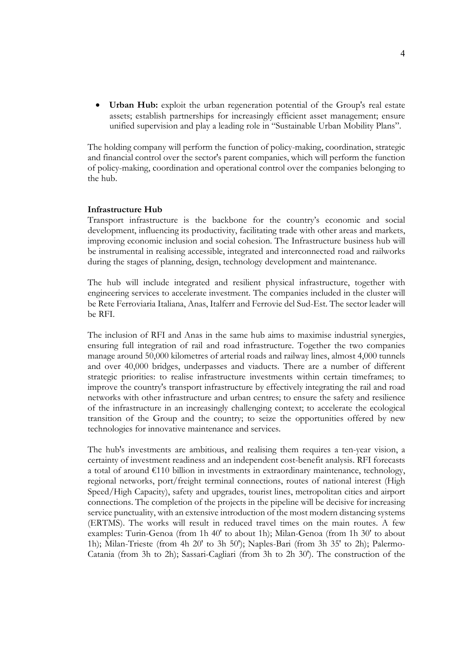• **Urban Hub:** exploit the urban regeneration potential of the Group's real estate assets; establish partnerships for increasingly efficient asset management; ensure unified supervision and play a leading role in "Sustainable Urban Mobility Plans".

The holding company will perform the function of policy-making, coordination, strategic and financial control over the sector's parent companies, which will perform the function of policy-making, coordination and operational control over the companies belonging to the hub.

### **Infrastructure Hub**

Transport infrastructure is the backbone for the country's economic and social development, influencing its productivity, facilitating trade with other areas and markets, improving economic inclusion and social cohesion. The Infrastructure business hub will be instrumental in realising accessible, integrated and interconnected road and railworks during the stages of planning, design, technology development and maintenance.

The hub will include integrated and resilient physical infrastructure, together with engineering services to accelerate investment. The companies included in the cluster will be Rete Ferroviaria Italiana, Anas, Italferr and Ferrovie del Sud-Est. The sector leader will be RFI.

The inclusion of RFI and Anas in the same hub aims to maximise industrial synergies, ensuring full integration of rail and road infrastructure. Together the two companies manage around 50,000 kilometres of arterial roads and railway lines, almost 4,000 tunnels and over 40,000 bridges, underpasses and viaducts. There are a number of different strategic priorities: to realise infrastructure investments within certain timeframes; to improve the country's transport infrastructure by effectively integrating the rail and road networks with other infrastructure and urban centres; to ensure the safety and resilience of the infrastructure in an increasingly challenging context; to accelerate the ecological transition of the Group and the country; to seize the opportunities offered by new technologies for innovative maintenance and services.

The hub's investments are ambitious, and realising them requires a ten-year vision, a certainty of investment readiness and an independent cost-benefit analysis. RFI forecasts a total of around  $E110$  billion in investments in extraordinary maintenance, technology, regional networks, port/freight terminal connections, routes of national interest (High Speed/High Capacity), safety and upgrades, tourist lines, metropolitan cities and airport connections. The completion of the projects in the pipeline will be decisive for increasing service punctuality, with an extensive introduction of the most modern distancing systems (ERTMS). The works will result in reduced travel times on the main routes. A few examples: Turin-Genoa (from 1h 40' to about 1h); Milan-Genoa (from 1h 30' to about 1h); Milan-Trieste (from 4h 20' to 3h 50'); Naples-Bari (from 3h 35' to 2h); Palermo-Catania (from 3h to 2h); Sassari-Cagliari (from 3h to 2h 30'). The construction of the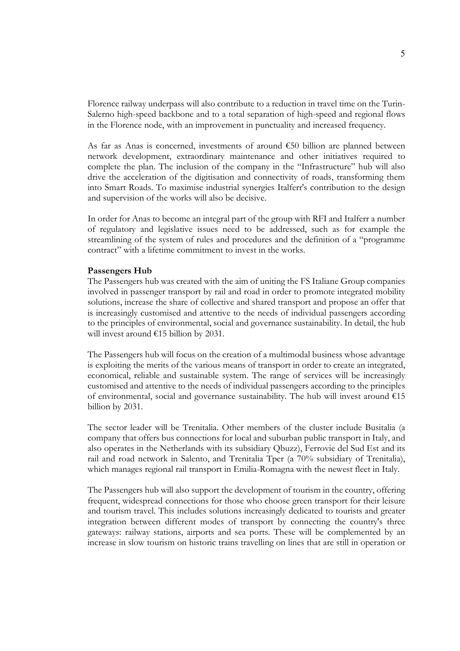Florence railway underpass will also contribute to a reduction in travel time on the Turin-Salerno high-speed backbone and to a total separation of high-speed and regional flows in the Florence node, with an improvement in punctuality and increased frequency.

As far as Anas is concerned, investments of around €50 billion are planned between network development, extraordinary maintenance and other initiatives required to complete the plan. The inclusion of the company in the "Infrastructure" hub will also drive the acceleration of the digitisation and connectivity of roads, transforming them into Smart Roads. To maximise industrial synergies Italferr's contribution to the design and supervision of the works will also be decisive.

In order for Anas to become an integral part of the group with RFI and Italferr a number of regulatory and legislative issues need to be addressed, such as for example the streamlining of the system of rules and procedures and the definition of a "programme contract" with a lifetime commitment to invest in the works.

### **Passengers Hub**

The Passengers hub was created with the aim of uniting the FS Italiane Group companies involved in passenger transport by rail and road in order to promote integrated mobility solutions, increase the share of collective and shared transport and propose an offer that is increasingly customised and attentive to the needs of individual passengers according to the principles of environmental, social and governance sustainability. In detail, the hub will invest around €15 billion by 2031.

The Passengers hub will focus on the creation of a multimodal business whose advantage is exploiting the merits of the various means of transport in order to create an integrated, economical, reliable and sustainable system. The range of services will be increasingly customised and attentive to the needs of individual passengers according to the principles of environmental, social and governance sustainability. The hub will invest around  $€15$ billion by 2031.

The sector leader will be Trenitalia. Other members of the cluster include Busitalia (a company that offers bus connections for local and suburban public transport in Italy, and also operates in the Netherlands with its subsidiary Qbuzz), Ferrovie del Sud Est and its rail and road network in Salento, and Trenitalia Tper (a 70% subsidiary of Trenitalia), which manages regional rail transport in Emilia-Romagna with the newest fleet in Italy.

The Passengers hub will also support the development of tourism in the country, offering frequent, widespread connections for those who choose green transport for their leisure and tourism travel. This includes solutions increasingly dedicated to tourists and greater integration between different modes of transport by connecting the country's three gateways: railway stations, airports and sea ports. These will be complemented by an increase in slow tourism on historic trains travelling on lines that are still in operation or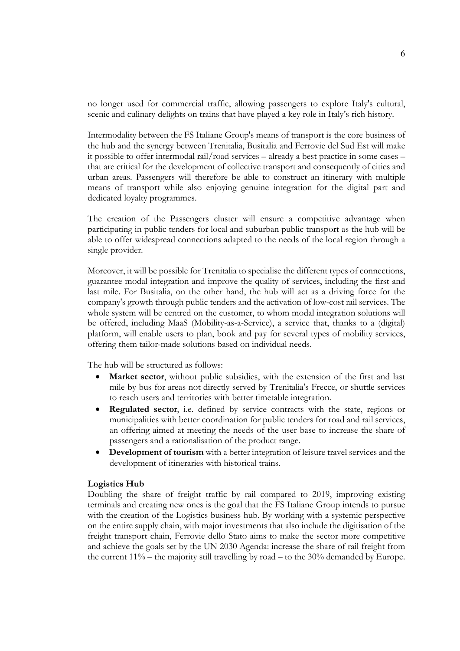no longer used for commercial traffic, allowing passengers to explore Italy's cultural, scenic and culinary delights on trains that have played a key role in Italy's rich history.

Intermodality between the FS Italiane Group's means of transport is the core business of the hub and the synergy between Trenitalia, Busitalia and Ferrovie del Sud Est will make it possible to offer intermodal rail/road services – already a best practice in some cases – that are critical for the development of collective transport and consequently of cities and urban areas. Passengers will therefore be able to construct an itinerary with multiple means of transport while also enjoying genuine integration for the digital part and dedicated loyalty programmes.

The creation of the Passengers cluster will ensure a competitive advantage when participating in public tenders for local and suburban public transport as the hub will be able to offer widespread connections adapted to the needs of the local region through a single provider.

Moreover, it will be possible for Trenitalia to specialise the different types of connections, guarantee modal integration and improve the quality of services, including the first and last mile. For Busitalia, on the other hand, the hub will act as a driving force for the company's growth through public tenders and the activation of low-cost rail services. The whole system will be centred on the customer, to whom modal integration solutions will be offered, including MaaS (Mobility-as-a-Service), a service that, thanks to a (digital) platform, will enable users to plan, book and pay for several types of mobility services, offering them tailor-made solutions based on individual needs.

The hub will be structured as follows:

- Market sector, without public subsidies, with the extension of the first and last mile by bus for areas not directly served by Trenitalia's Frecce, or shuttle services to reach users and territories with better timetable integration.
- **Regulated sector**, i.e. defined by service contracts with the state, regions or municipalities with better coordination for public tenders for road and rail services, an offering aimed at meeting the needs of the user base to increase the share of passengers and a rationalisation of the product range.
- **Development of tourism** with a better integration of leisure travel services and the development of itineraries with historical trains.

### **Logistics Hub**

Doubling the share of freight traffic by rail compared to 2019, improving existing terminals and creating new ones is the goal that the FS Italiane Group intends to pursue with the creation of the Logistics business hub. By working with a systemic perspective on the entire supply chain, with major investments that also include the digitisation of the freight transport chain, Ferrovie dello Stato aims to make the sector more competitive and achieve the goals set by the UN 2030 Agenda: increase the share of rail freight from the current  $11\%$  – the majority still travelling by road – to the 30% demanded by Europe.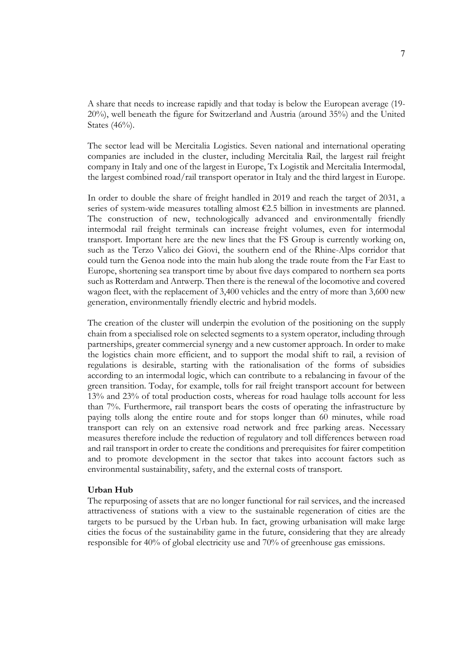A share that needs to increase rapidly and that today is below the European average (19- 20%), well beneath the figure for Switzerland and Austria (around 35%) and the United States (46%).

The sector lead will be Mercitalia Logistics. Seven national and international operating companies are included in the cluster, including Mercitalia Rail, the largest rail freight company in Italy and one of the largest in Europe, Tx Logistik and Mercitalia Intermodal, the largest combined road/rail transport operator in Italy and the third largest in Europe.

In order to double the share of freight handled in 2019 and reach the target of 2031, a series of system-wide measures totalling almost €2.5 billion in investments are planned. The construction of new, technologically advanced and environmentally friendly intermodal rail freight terminals can increase freight volumes, even for intermodal transport. Important here are the new lines that the FS Group is currently working on, such as the Terzo Valico dei Giovi, the southern end of the Rhine-Alps corridor that could turn the Genoa node into the main hub along the trade route from the Far East to Europe, shortening sea transport time by about five days compared to northern sea ports such as Rotterdam and Antwerp. Then there is the renewal of the locomotive and covered wagon fleet, with the replacement of 3,400 vehicles and the entry of more than 3,600 new generation, environmentally friendly electric and hybrid models.

The creation of the cluster will underpin the evolution of the positioning on the supply chain from a specialised role on selected segments to a system operator, including through partnerships, greater commercial synergy and a new customer approach. In order to make the logistics chain more efficient, and to support the modal shift to rail, a revision of regulations is desirable, starting with the rationalisation of the forms of subsidies according to an intermodal logic, which can contribute to a rebalancing in favour of the green transition. Today, for example, tolls for rail freight transport account for between 13% and 23% of total production costs, whereas for road haulage tolls account for less than 7%. Furthermore, rail transport bears the costs of operating the infrastructure by paying tolls along the entire route and for stops longer than 60 minutes, while road transport can rely on an extensive road network and free parking areas. Necessary measures therefore include the reduction of regulatory and toll differences between road and rail transport in order to create the conditions and prerequisites for fairer competition and to promote development in the sector that takes into account factors such as environmental sustainability, safety, and the external costs of transport.

### **Urban Hub**

The repurposing of assets that are no longer functional for rail services, and the increased attractiveness of stations with a view to the sustainable regeneration of cities are the targets to be pursued by the Urban hub. In fact, growing urbanisation will make large cities the focus of the sustainability game in the future, considering that they are already responsible for 40% of global electricity use and 70% of greenhouse gas emissions.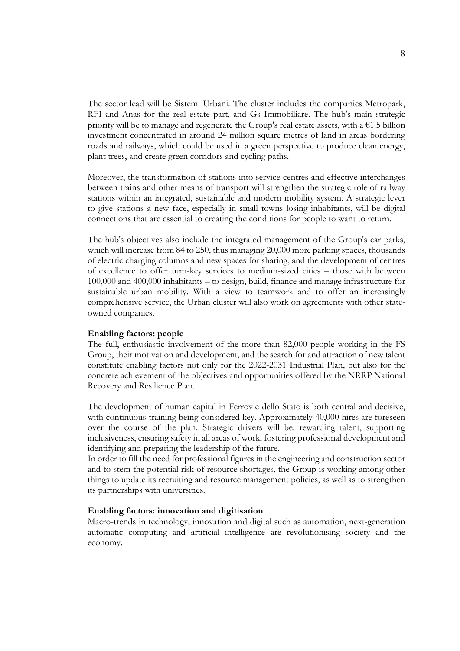The sector lead will be Sistemi Urbani. The cluster includes the companies Metropark, RFI and Anas for the real estate part, and Gs Immobiliare. The hub's main strategic priority will be to manage and regenerate the Group's real estate assets, with a  $\epsilon$ 1.5 billion investment concentrated in around 24 million square metres of land in areas bordering roads and railways, which could be used in a green perspective to produce clean energy, plant trees, and create green corridors and cycling paths.

Moreover, the transformation of stations into service centres and effective interchanges between trains and other means of transport will strengthen the strategic role of railway stations within an integrated, sustainable and modern mobility system. A strategic lever to give stations a new face, especially in small towns losing inhabitants, will be digital connections that are essential to creating the conditions for people to want to return.

The hub's objectives also include the integrated management of the Group's car parks, which will increase from 84 to 250, thus managing 20,000 more parking spaces, thousands of electric charging columns and new spaces for sharing, and the development of centres of excellence to offer turn-key services to medium-sized cities – those with between 100,000 and 400,000 inhabitants – to design, build, finance and manage infrastructure for sustainable urban mobility. With a view to teamwork and to offer an increasingly comprehensive service, the Urban cluster will also work on agreements with other stateowned companies.

### **Enabling factors: people**

The full, enthusiastic involvement of the more than 82,000 people working in the FS Group, their motivation and development, and the search for and attraction of new talent constitute enabling factors not only for the 2022-2031 Industrial Plan, but also for the concrete achievement of the objectives and opportunities offered by the NRRP National Recovery and Resilience Plan.

The development of human capital in Ferrovie dello Stato is both central and decisive, with continuous training being considered key. Approximately 40,000 hires are foreseen over the course of the plan. Strategic drivers will be: rewarding talent, supporting inclusiveness, ensuring safety in all areas of work, fostering professional development and identifying and preparing the leadership of the future.

In order to fill the need for professional figures in the engineering and construction sector and to stem the potential risk of resource shortages, the Group is working among other things to update its recruiting and resource management policies, as well as to strengthen its partnerships with universities.

### **Enabling factors: innovation and digitisation**

Macro-trends in technology, innovation and digital such as automation, next-generation automatic computing and artificial intelligence are revolutionising society and the economy.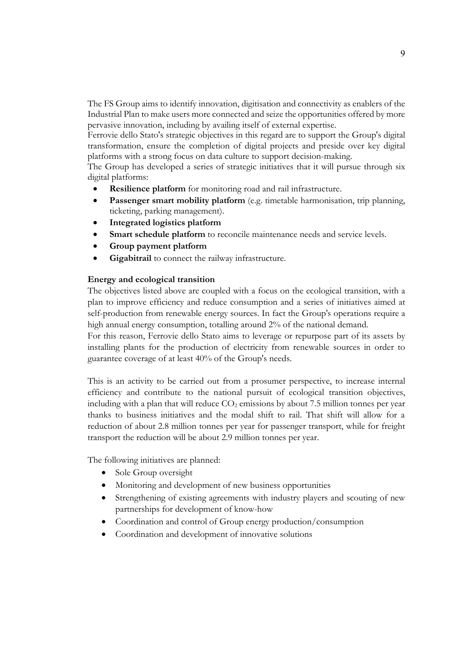The FS Group aims to identify innovation, digitisation and connectivity as enablers of the Industrial Plan to make users more connected and seize the opportunities offered by more pervasive innovation, including by availing itself of external expertise.

Ferrovie dello Stato's strategic objectives in this regard are to support the Group's digital transformation, ensure the completion of digital projects and preside over key digital platforms with a strong focus on data culture to support decision-making.

The Group has developed a series of strategic initiatives that it will pursue through six digital platforms:

- **Resilience platform** for monitoring road and rail infrastructure.
- **Passenger smart mobility platform** (e.g. timetable harmonisation, trip planning, ticketing, parking management).
- **Integrated logistics platform**
- **Smart schedule platform** to reconcile maintenance needs and service levels.
- **Group payment platform**
- Gigabitrail to connect the railway infrastructure.

## **Energy and ecological transition**

The objectives listed above are coupled with a focus on the ecological transition, with a plan to improve efficiency and reduce consumption and a series of initiatives aimed at self-production from renewable energy sources. In fact the Group's operations require a high annual energy consumption, totalling around 2% of the national demand.

For this reason, Ferrovie dello Stato aims to leverage or repurpose part of its assets by installing plants for the production of electricity from renewable sources in order to guarantee coverage of at least 40% of the Group's needs.

This is an activity to be carried out from a prosumer perspective, to increase internal efficiency and contribute to the national pursuit of ecological transition objectives, including with a plan that will reduce  $CO<sub>2</sub>$  emissions by about 7.5 million tonnes per year thanks to business initiatives and the modal shift to rail. That shift will allow for a reduction of about 2.8 million tonnes per year for passenger transport, while for freight transport the reduction will be about 2.9 million tonnes per year.

The following initiatives are planned:

- Sole Group oversight
- Monitoring and development of new business opportunities
- Strengthening of existing agreements with industry players and scouting of new partnerships for development of know-how
- Coordination and control of Group energy production/consumption
- Coordination and development of innovative solutions